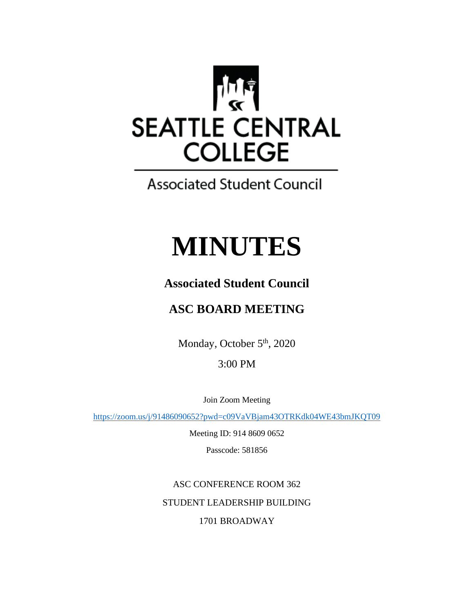

**Associated Student Council** 

# **MINUTES**

## **Associated Student Council**

# **ASC BOARD MEETING**

Monday, October 5<sup>th</sup>, 2020

3:00 PM

Join Zoom Meeting

<https://zoom.us/j/91486090652?pwd=c09VaVBjam43OTRKdk04WE43bmJKQT09>

Meeting ID: 914 8609 0652

Passcode: 581856

ASC CONFERENCE ROOM 362 STUDENT LEADERSHIP BUILDING 1701 BROADWAY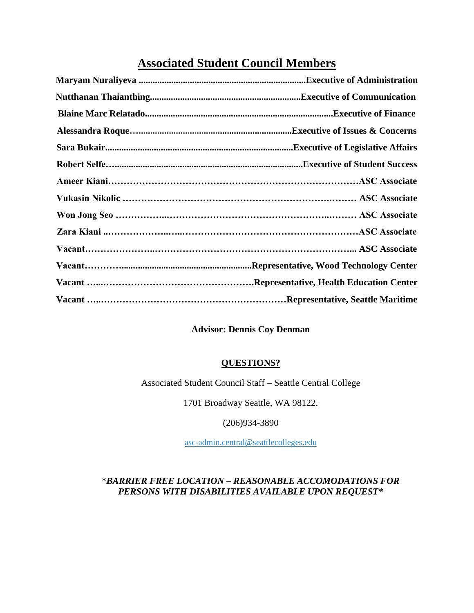### **Associated Student Council Members**

#### **Advisor: Dennis Coy Denman**

#### **QUESTIONS?**

Associated Student Council Staff – Seattle Central College

1701 Broadway Seattle, WA 98122.

(206)934-3890

[asc-admin.central@seattlecolleges.edu](mailto:asc-admin.central@seattlecolleges.edu)

#### \**BARRIER FREE LOCATION – REASONABLE ACCOMODATIONS FOR PERSONS WITH DISABILITIES AVAILABLE UPON REQUEST\**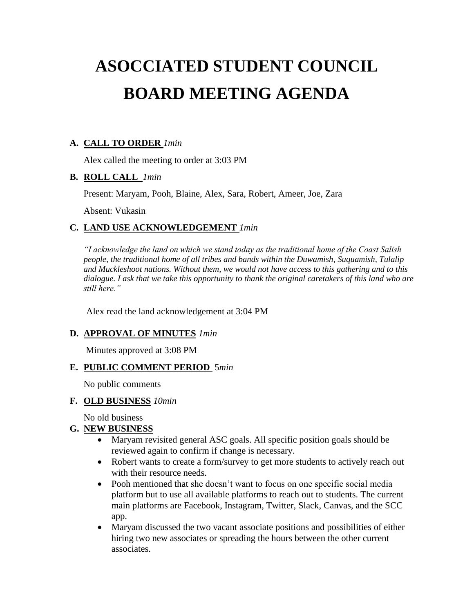# **ASOCCIATED STUDENT COUNCIL BOARD MEETING AGENDA**

#### **A. CALL TO ORDER** *1min*

Alex called the meeting to order at 3:03 PM

#### **B. ROLL CALL** *1min*

Present: Maryam, Pooh, Blaine, Alex, Sara, Robert, Ameer, Joe, Zara

Absent: Vukasin

#### **C. LAND USE ACKNOWLEDGEMENT** *1min*

*"I acknowledge the land on which we stand today as the traditional home of the Coast Salish people, the traditional home of all tribes and bands within the Duwamish, Suquamish, Tulalip and Muckleshoot nations. Without them, we would not have access to this gathering and to this dialogue. I ask that we take this opportunity to thank the original caretakers of this land who are still here."*

Alex read the land acknowledgement at 3:04 PM

#### **D. APPROVAL OF MINUTES** *1min*

Minutes approved at 3:08 PM

#### **E. PUBLIC COMMENT PERIOD** 5*min*

No public comments

#### **F. OLD BUSINESS** *10min*

No old business

#### **G. NEW BUSINESS**

- Maryam revisited general ASC goals. All specific position goals should be reviewed again to confirm if change is necessary.
- Robert wants to create a form/survey to get more students to actively reach out with their resource needs.
- Pooh mentioned that she doesn't want to focus on one specific social media platform but to use all available platforms to reach out to students. The current main platforms are Facebook, Instagram, Twitter, Slack, Canvas, and the SCC app.
- Maryam discussed the two vacant associate positions and possibilities of either hiring two new associates or spreading the hours between the other current associates.